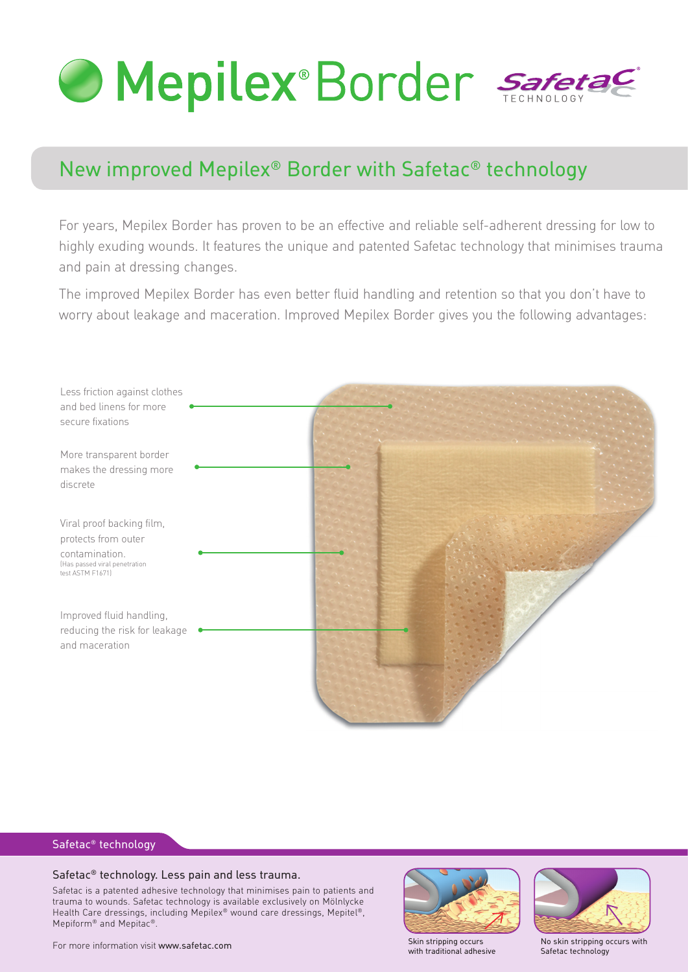

# New improved Mepilex® Border with Safetac® technology

For years, Mepilex Border has proven to be an effective and reliable self-adherent dressing for low to highly exuding wounds. It features the unique and patented Safetac technology that minimises trauma and pain at dressing changes.

The improved Mepilex Border has even better fluid handling and retention so that you don't have to worry about leakage and maceration. Improved Mepilex Border gives you the following advantages:



### Safetac® technology

#### Safetac® technology. Less pain and less trauma.

Safetac is a patented adhesive technology that minimises pain to patients and trauma to wounds. Safetac technology is available exclusively on Mölnlycke Health Care dressings, including Mepilex® wound care dressings, Mepitel®, Mepiform® and Mepitac®.



with traditional adhesive



No skin stripping occurs with Safetac technology